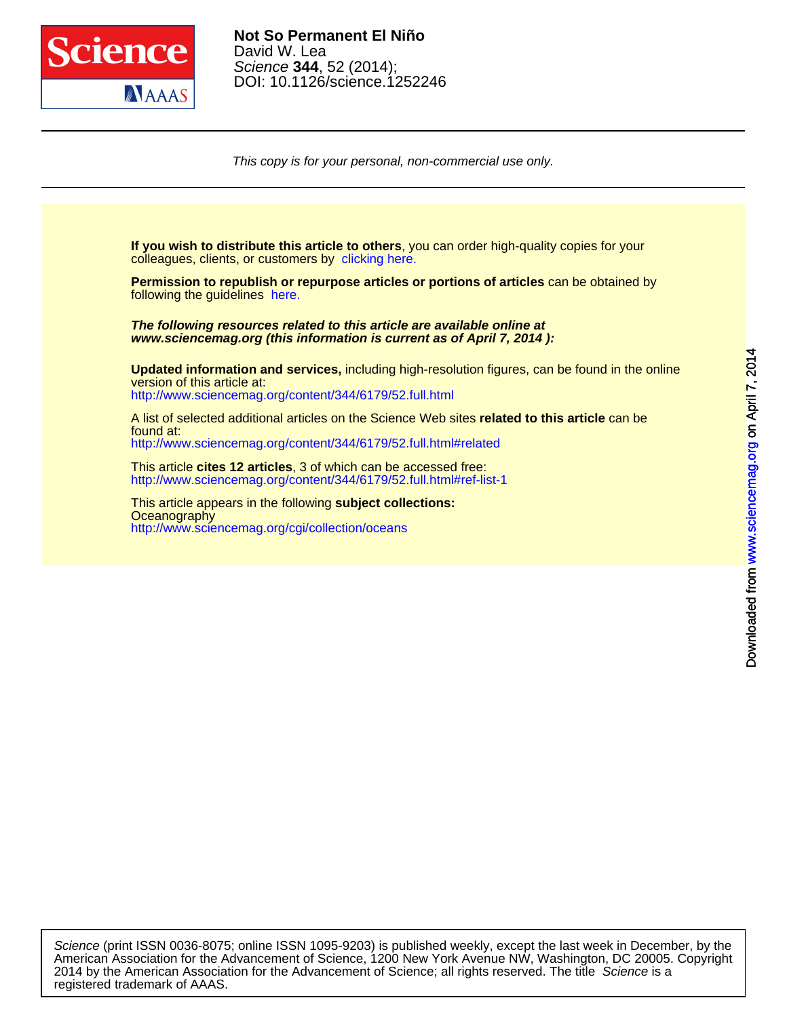

[This copy i](http://www.sciencemag.org/)s for your personal, non-commercial use only.

colleagues, clients, or customers by [clicking here.](http://www.sciencemag.org/about/permissions.dtl) **If you wish to distribute this article to others**, you can order high-quality copies for your

following the guidelines [here.](http://www.sciencemag.org/about/permissions.dtl) **Permission to republish or repurpose articles or portions of articles** can be obtained by

**www.sciencemag.org (this information is current as of April 7, 2014 ): The following resources related to this article are available online at**

<http://www.sciencemag.org/content/344/6179/52.full.html> version of this article at: **Updated information and services,** including high-resolution figures, can be found in the online

<http://www.sciencemag.org/content/344/6179/52.full.html#related> found at: A list of selected additional articles on the Science Web sites **related to this article** can be

<http://www.sciencemag.org/content/344/6179/52.full.html#ref-list-1> This article **cites 12 articles**, 3 of which can be accessed free:

<http://www.sciencemag.org/cgi/collection/oceans> **Oceanography** This article appears in the following **subject collections:**

registered trademark of AAAS. 2014 by the American Association for the Advancement of Science; all rights reserved. The title Science is a American Association for the Advancement of Science, 1200 New York Avenue NW, Washington, DC 20005. Copyright Science (print ISSN 0036-8075; online ISSN 1095-9203) is published weekly, except the last week in December, by the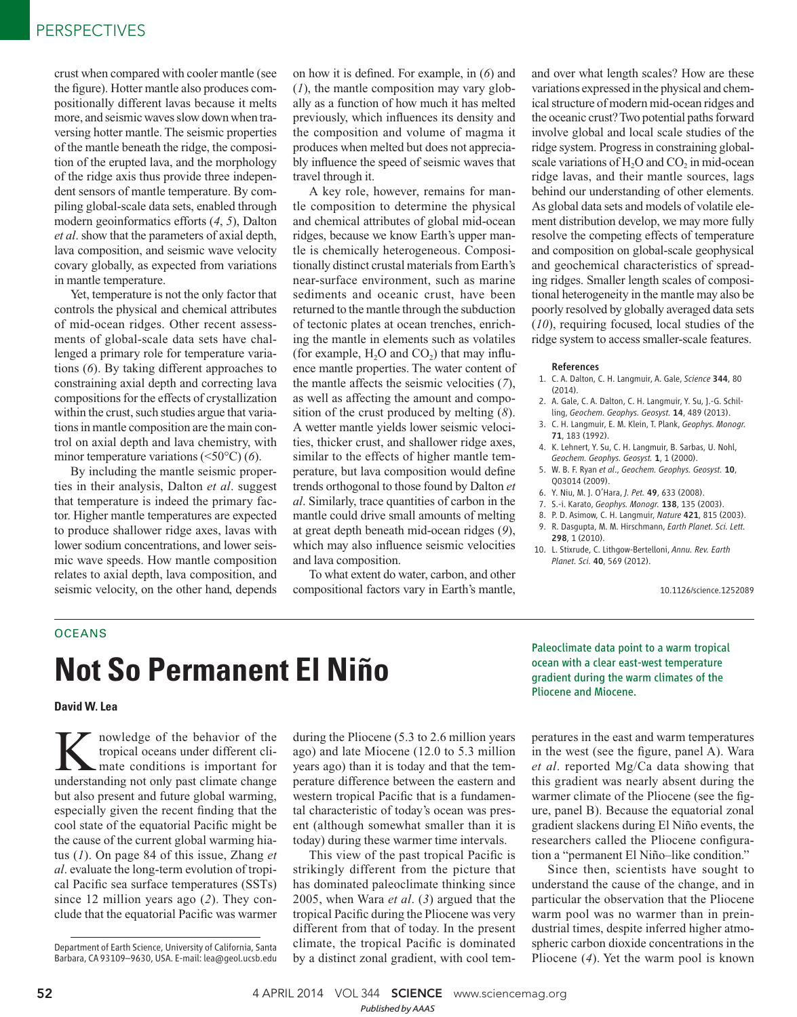crust when compared with cooler mantle (see the figure). Hotter mantle also produces compositionally different lavas because it melts more, and seismic waves slow down when traversing hotter mantle. The seismic properties of the mantle beneath the ridge, the composition of the erupted lava, and the morphology of the ridge axis thus provide three independent sensors of mantle temperature. By compiling global-scale data sets, enabled through modern geoinformatics efforts  $(4, 5)$ , Dalton *et al*. show that the parameters of axial depth, lava composition, and seismic wave velocity covary globally, as expected from variations in mantle temperature.

Yet, temperature is not the only factor that controls the physical and chemical attributes of mid-ocean ridges. Other recent assessments of global-scale data sets have challenged a primary role for temperature variations (6). By taking different approaches to constraining axial depth and correcting lava compositions for the effects of crystallization within the crust, such studies argue that variations in mantle composition are the main control on axial depth and lava chemistry, with minor temperature variations (<50°C) (6).

By including the mantle seismic properties in their analysis, Dalton *et al*. suggest that temperature is indeed the primary factor. Higher mantle temperatures are expected to produce shallower ridge axes, lavas with lower sodium concentrations, and lower seismic wave speeds. How mantle composition relates to axial depth, lava composition, and seismic velocity, on the other hand, depends

on how it is defined. For example, in (6) and  $(1)$ , the mantle composition may vary globally as a function of how much it has melted previously, which influences its density and the composition and volume of magma it produces when melted but does not appreciably influence the speed of seismic waves that travel through it.

A key role, however, remains for mantle composition to determine the physical and chemical attributes of global mid-ocean ridges, because we know Earth's upper mantle is chemically heterogeneous. Compositionally distinct crustal materials from Earth's near-surface environment, such as marine sediments and oceanic crust, have been returned to the mantle through the subduction of tectonic plates at ocean trenches, enriching the mantle in elements such as volatiles (for example,  $H_2O$  and  $CO_2$ ) that may influence mantle properties. The water content of the mantle affects the seismic velocities ( *7*), as well as affecting the amount and composition of the crust produced by melting  $(8)$ . A wetter mantle yields lower seismic velocities, thicker crust, and shallower ridge axes, similar to the effects of higher mantle temperature, but lava composition would define trends orthogonal to those found by Dalton *et al*. Similarly, trace quantities of carbon in the mantle could drive small amounts of melting at great depth beneath mid-ocean ridges (9), which may also influence seismic velocities and lava composition.

To what extent do water, carbon, and other compositional factors vary in Earth's mantle,

and over what length scales? How are these variations expressed in the physical and chemical structure of modern mid-ocean ridges and the oceanic crust? Two potential paths forward involve global and local scale studies of the ridge system. Progress in constraining globalscale variations of  $H_2O$  and  $CO_2$  in mid-ocean ridge lavas, and their mantle sources, lags behind our understanding of other elements. As global data sets and models of volatile element distribution develop, we may more fully resolve the competing effects of temperature and composition on global-scale geophysical and geochemical characteristics of spreading ridges. Smaller length scales of compositional heterogeneity in the mantle may also be poorly resolved by globally averaged data sets ( *10*), requiring focused, local studies of the ridge system to access smaller-scale features.

#### References

- 1. C. A. Dalton, C. H. Langmuir, A. Gale, *Science* 344, 80 (2014).
- 2. A. Gale, C. A. Dalton, C. H. Langmuir, Y. Su, J.-G. Schilling, *Geochem. Geophys. Geosyst.* 14, 489 (2013).
- 3. C. H. Langmuir, E. M. Klein, T. Plank, *Geophys. Monogr.* 71, 183 (1992).
- 4. K. Lehnert, Y. Su, C. H. Langmuir, B. Sarbas, U. Nohl, *Geochem. Geophys. Geosyst.* 1, 1 (2000).
- 5. W. B. F. Ryan *et al*., *Geochem. Geophys. Geosyst.* 10, Q03014 (2009).
- 6. Y. Niu, M. J. O'Hara, *J. Pet.* 49, 633 (2008).
- 7. S.-i. Karato, *Geophys. Monogr.* 138, 135 (2003).
- 8. P. D. Asimow, C. H. Langmuir, *Nature* 421, 815 (2003). 9. R. Dasgupta, M. M. Hirschmann, *Earth Planet. Sci. Lett.* 298, 1 (2010).
- 10. L. Stixrude, C. Lithgow-Bertelloni, *Annu. Rev. Earth Planet. Sci.* 40, 569 (2012).

10.1126/science.1252089

## **OCEANS**

# **Not So Permanent El Niño**

**David W. Lea**

**K** nowledge of the behavior of the tropical oceans under different climate conditions is important for understanding not only past climate change nowledge of the behavior of the tropical oceans under different climate conditions is important for but also present and future global warming, especially given the recent finding that the cool state of the equatorial Pacific might be the cause of the current global warming hiatus ( *1*). On page 84 of this issue, Zhang *et al*. evaluate the long-term evolution of tropical Pacific sea surface temperatures (SSTs) since 12 million years ago (2). They conclude that the equatorial Pacific was warmer

Department of Earth Science, University of California, Santa Barbara, CA 93109–9630, USA. E-mail: lea@geol.ucsb.edu

during the Pliocene (5.3 to 2.6 million years ago) and late Miocene (12.0 to 5.3 million years ago) than it is today and that the temperature difference between the eastern and western tropical Pacific that is a fundamental characteristic of today's ocean was present (although somewhat smaller than it is today) during these warmer time intervals.

This view of the past tropical Pacific is strikingly different from the picture that has dominated paleoclimate thinking since 2005, when Wara *et al.* (3) argued that the tropical Pacific during the Pliocene was very different from that of today. In the present climate, the tropical Pacific is dominated by a distinct zonal gradient, with cool temPaleoclimate data point to a warm tropical ocean with a clear east-west temperature gradient during the warm climates of the Pliocene and Miocene.

peratures in the east and warm temperatures in the west (see the figure, panel A). Wara *et al*. reported Mg/Ca data showing that this gradient was nearly absent during the warmer climate of the Pliocene (see the figure, panel B). Because the equatorial zonal gradient slackens during El Niño events, the researchers called the Pliocene configuration a "permanent El Niño–like condition."

Since then, scientists have sought to understand the cause of the change, and in particular the observation that the Pliocene warm pool was no warmer than in preindustrial times, despite inferred higher atmospheric carbon dioxide concentrations in the Pliocene (4). Yet the warm pool is known

52 **4 APRIL 2014 VOL 344 SCIENCE** www.sciencemag.org